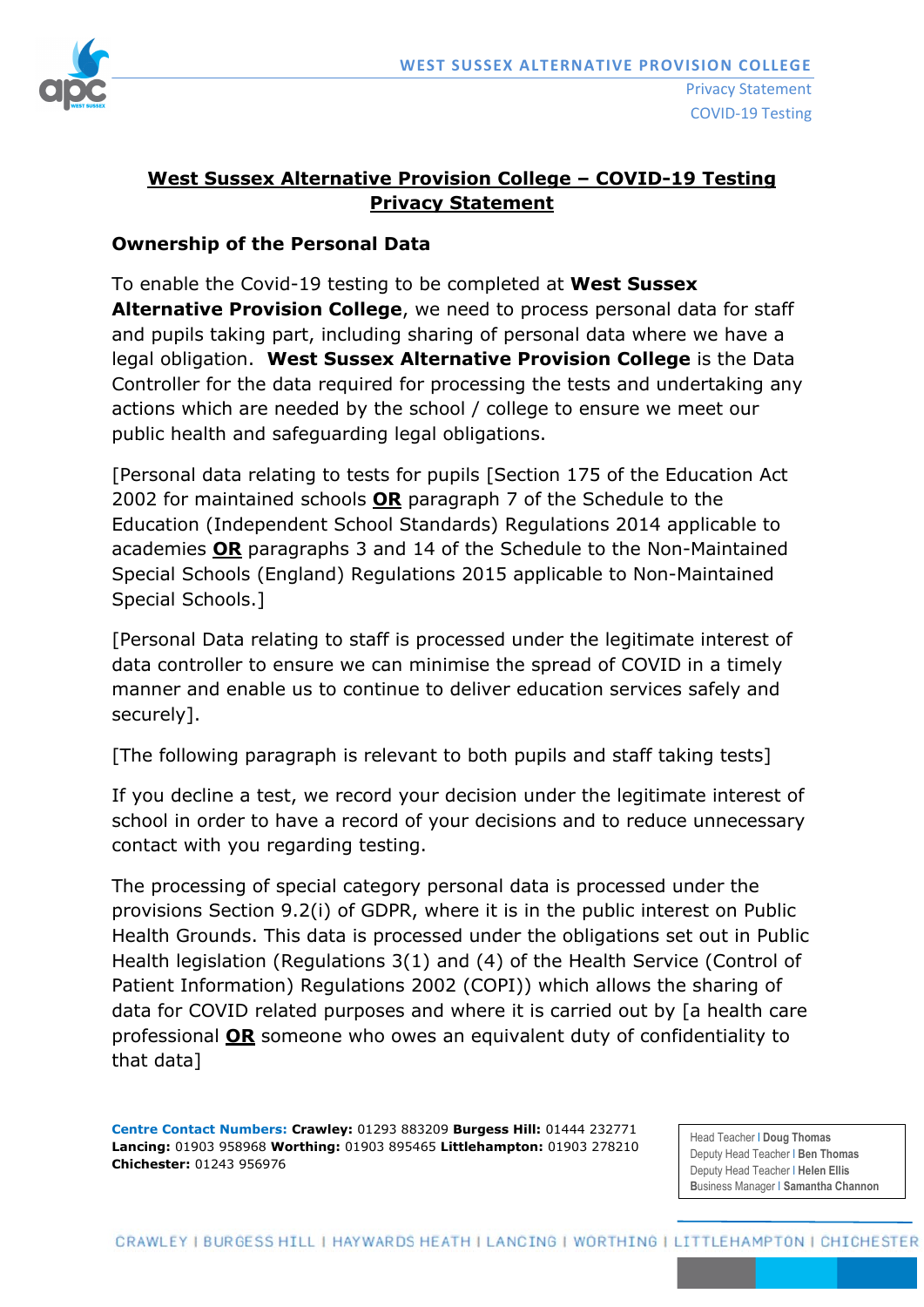

# **West Sussex Alternative Provision College – COVID-19 Testing Privacy Statement**

#### **Ownership of the Personal Data**

To enable the Covid-19 testing to be completed at **West Sussex Alternative Provision College**, we need to process personal data for staff and pupils taking part, including sharing of personal data where we have a legal obligation. **West Sussex Alternative Provision College** is the Data Controller for the data required for processing the tests and undertaking any actions which are needed by the school / college to ensure we meet our public health and safeguarding legal obligations.

[Personal data relating to tests for pupils [Section 175 of the Education Act 2002 for maintained schools **OR** paragraph 7 of the Schedule to the Education (Independent School Standards) Regulations 2014 applicable to academies **OR** paragraphs 3 and 14 of the Schedule to the Non-Maintained Special Schools (England) Regulations 2015 applicable to Non-Maintained Special Schools.]

[Personal Data relating to staff is processed under the legitimate interest of data controller to ensure we can minimise the spread of COVID in a timely manner and enable us to continue to deliver education services safely and securely].

[The following paragraph is relevant to both pupils and staff taking tests]

If you decline a test, we record your decision under the legitimate interest of school in order to have a record of your decisions and to reduce unnecessary contact with you regarding testing.

The processing of special category personal data is processed under the provisions Section 9.2(i) of GDPR, where it is in the public interest on Public Health Grounds. This data is processed under the obligations set out in Public Health legislation (Regulations 3(1) and (4) of the Health Service (Control of Patient Information) Regulations 2002 (COPI)) which allows the sharing of data for COVID related purposes and where it is carried out by [a health care professional **OR** someone who owes an equivalent duty of confidentiality to that data]

**Centre Contact Numbers: Crawley:** 01293 883209 **Burgess Hill:** 01444 232771 **Lancing:** 01903 958968 **Worthing:** 01903 895465 **Littlehampton:** 01903 278210 **Chichester:** 01243 956976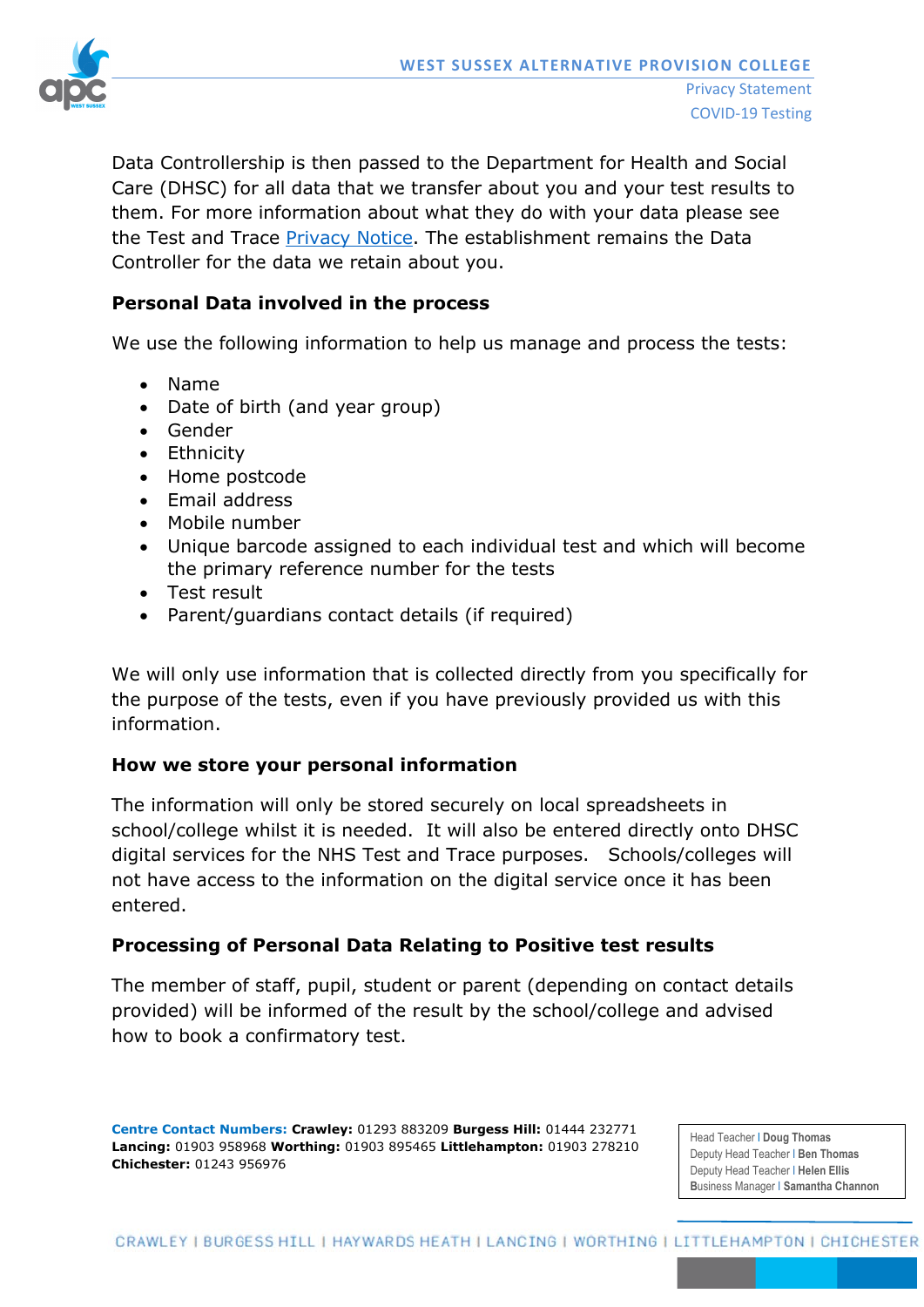

Data Controllership is then passed to the Department for Health and Social Care (DHSC) for all data that we transfer about you and your test results to them. For more information about what they do with your data please see the Test and Trace [Privacy Notice.](https://contact-tracing.phe.gov.uk/help/privacy-notice) The establishment remains the Data Controller for the data we retain about you.

### **Personal Data involved in the process**

We use the following information to help us manage and process the tests:

- Name
- Date of birth (and year group)
- Gender
- Ethnicity
- Home postcode
- Email address
- Mobile number
- Unique barcode assigned to each individual test and which will become the primary reference number for the tests
- Test result
- Parent/guardians contact details (if required)

We will only use information that is collected directly from you specifically for the purpose of the tests, even if you have previously provided us with this information.

### **How we store your personal information**

The information will only be stored securely on local spreadsheets in school/college whilst it is needed. It will also be entered directly onto DHSC digital services for the NHS Test and Trace purposes. Schools/colleges will not have access to the information on the digital service once it has been entered.

### **Processing of Personal Data Relating to Positive test results**

The member of staff, pupil, student or parent (depending on contact details provided) will be informed of the result by the school/college and advised how to book a confirmatory test.

**Centre Contact Numbers: Crawley:** 01293 883209 **Burgess Hill:** 01444 232771 **Lancing:** 01903 958968 **Worthing:** 01903 895465 **Littlehampton:** 01903 278210 **Chichester:** 01243 956976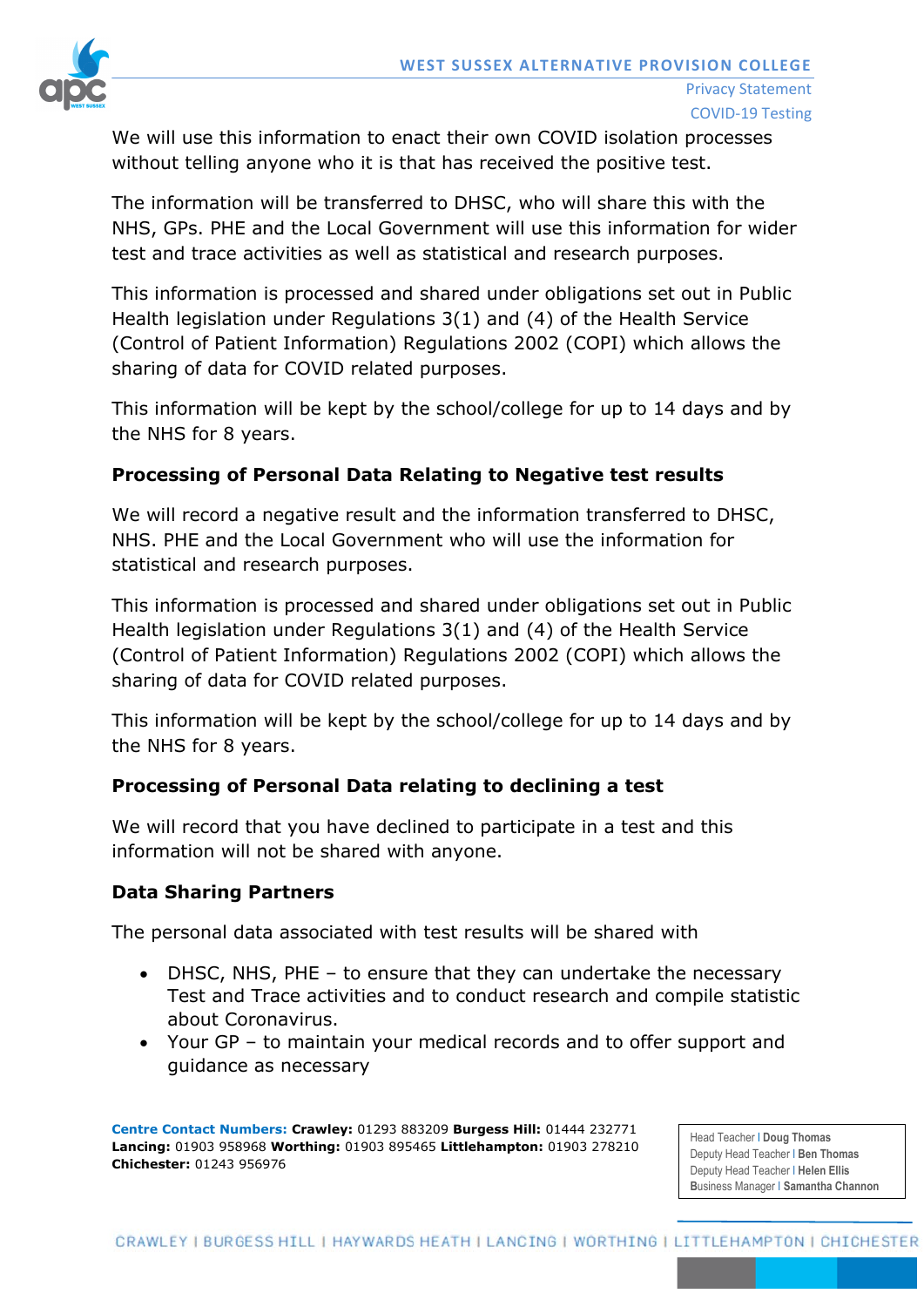

We will use this information to enact their own COVID isolation processes without telling anyone who it is that has received the positive test.

The information will be transferred to DHSC, who will share this with the NHS, GPs. PHE and the Local Government will use this information for wider test and trace activities as well as statistical and research purposes.

This information is processed and shared under obligations set out in Public Health legislation under Regulations 3(1) and (4) of the Health Service (Control of Patient Information) Regulations 2002 (COPI) which allows the sharing of data for COVID related purposes.

This information will be kept by the school/college for up to 14 days and by the NHS for 8 years.

# **Processing of Personal Data Relating to Negative test results**

We will record a negative result and the information transferred to DHSC, NHS. PHE and the Local Government who will use the information for statistical and research purposes.

This information is processed and shared under obligations set out in Public Health legislation under Regulations 3(1) and (4) of the Health Service (Control of Patient Information) Regulations 2002 (COPI) which allows the sharing of data for COVID related purposes.

This information will be kept by the school/college for up to 14 days and by the NHS for 8 years.

# **Processing of Personal Data relating to declining a test**

We will record that you have declined to participate in a test and this information will not be shared with anyone.

# **Data Sharing Partners**

The personal data associated with test results will be shared with

- DHSC, NHS, PHE to ensure that they can undertake the necessary Test and Trace activities and to conduct research and compile statistic about Coronavirus.
- Your GP to maintain your medical records and to offer support and guidance as necessary

**Centre Contact Numbers: Crawley:** 01293 883209 **Burgess Hill:** 01444 232771 **Lancing:** 01903 958968 **Worthing:** 01903 895465 **Littlehampton:** 01903 278210 **Chichester:** 01243 956976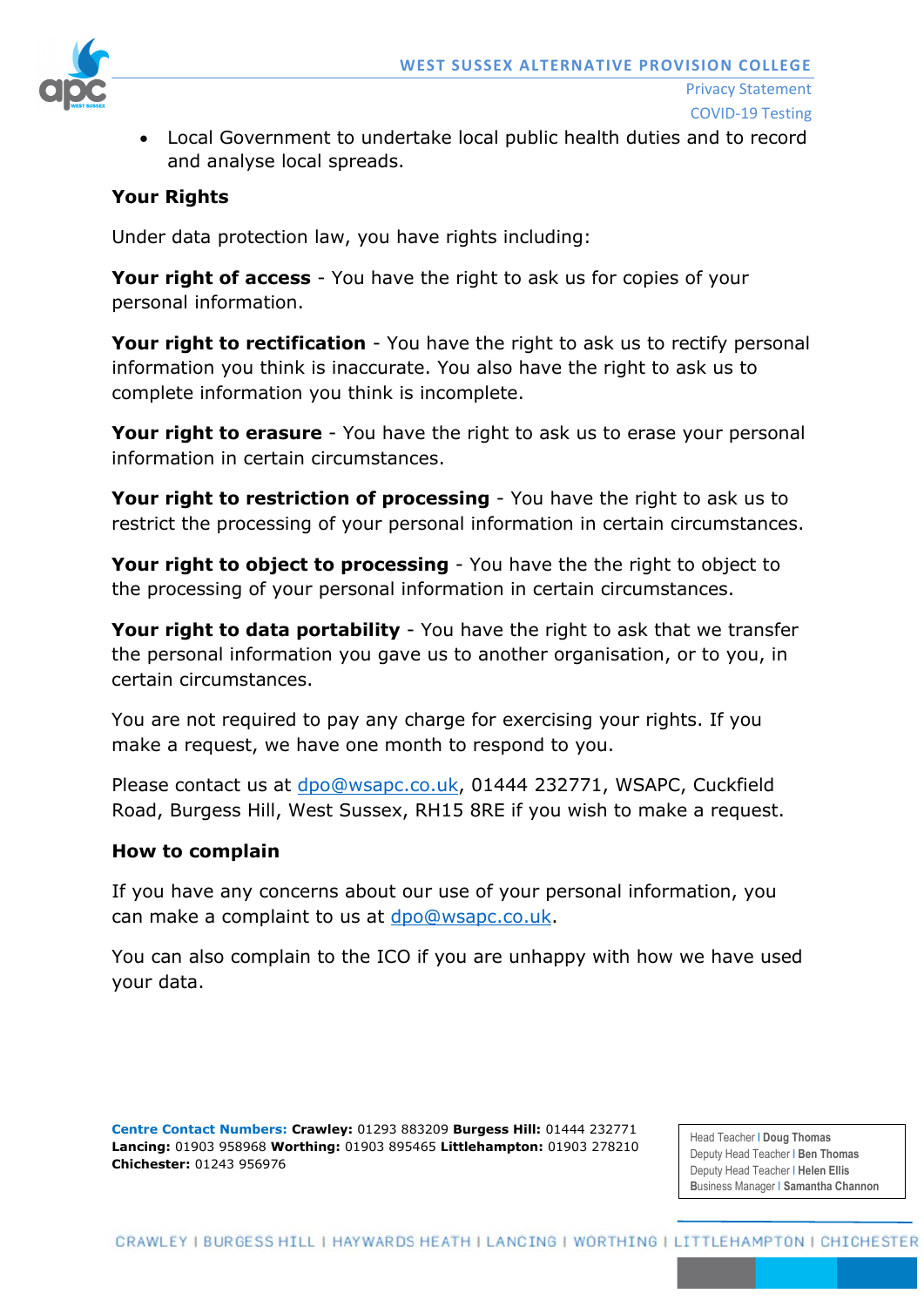

- Privacy Statement COVID-19 Testing
- Local Government to undertake local public health duties and to record and analyse local spreads.

### **Your Rights**

Under data protection law, you have rights including:

**Your right of access** - You have the right to ask us for copies of your personal information.

**Your right to rectification** - You have the right to ask us to rectify personal information you think is inaccurate. You also have the right to ask us to complete information you think is incomplete.

**Your right to erasure** - You have the right to ask us to erase your personal information in certain circumstances.

**Your right to restriction of processing** - You have the right to ask us to restrict the processing of your personal information in certain circumstances.

**Your right to object to processing** - You have the the right to object to the processing of your personal information in certain circumstances.

**Your right to data portability** - You have the right to ask that we transfer the personal information you gave us to another organisation, or to you, in certain circumstances.

You are not required to pay any charge for exercising your rights. If you make a request, we have one month to respond to you.

Please contact us at [dpo@wsapc.co.uk,](mailto:dpo@wsapc.co.uk) 01444 232771, WSAPC, Cuckfield Road, Burgess Hill, West Sussex, RH15 8RE if you wish to make a request.

#### **How to complain**

If you have any concerns about our use of your personal information, you can make a complaint to us at [dpo@wsapc.co.uk.](mailto:dpo@wsapc.co.uk)

You can also complain to the ICO if you are unhappy with how we have used your data.

**Centre Contact Numbers: Crawley:** 01293 883209 **Burgess Hill:** 01444 232771 **Lancing:** 01903 958968 **Worthing:** 01903 895465 **Littlehampton:** 01903 278210 **Chichester:** 01243 956976